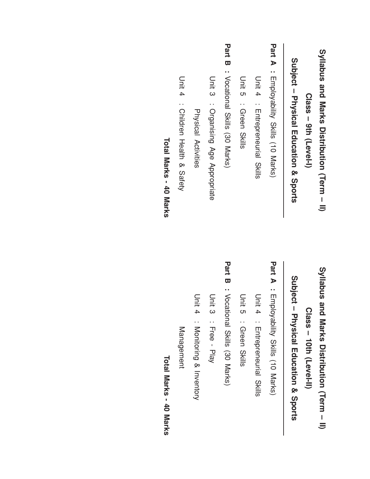| Syllabus and Marks Distribution (Term - II) |
|---------------------------------------------|
| Class - 9th (Level-I)                       |
| Subject - Physical Education & Sports       |
| Part A<br>: Enpovability Skills (10 Marks)  |
| Unit 4<br>: Enteprenential<br>Skills        |
| Unit 5<br>: Green Skills                    |
| Part B : Vocational Skills (30 Marks)       |
| Unit 3 : Organising Age Appropriate         |
| Physical Activities                         |
| Unit 4<br>: Children Health & Sater         |
| Total Marks - 40 Marks                      |
|                                             |

Syllabus and Marks Distribution (Term –  $\equiv$ Class – 1<br>10th (Level-II)

Subject – Physical Education & Sports

Part  $\blacktriangleright$ : Employability Skills (10 Marks)

D<br>Unit 4 : Entrepreneurial Skills

D<br>Unit ပာ : Green Skills

Part<br>Ta  $\boldsymbol{\varpi}$ : Vocational Skills (30 Marks)

D<br>Di ယ : דן<br>ወ<br>ወ - Play

D<br>Ditt 4 : Monitoring & Inventory

**Management** Management

Total Marks - 40 Marks